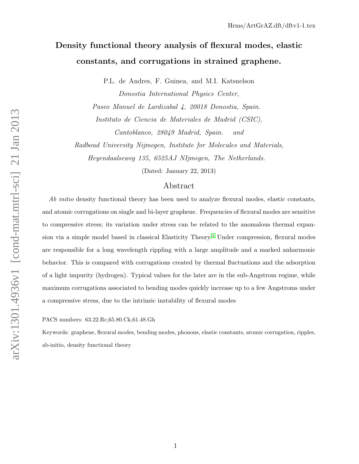# Density functional theory analysis of flexural modes, elastic constants, and corrugations in strained graphene.

P.L. de Andres, F. Guinea, and M.I. Katsnelson

Donostia International Physics Center, Paseo Manuel de Lardizabal 4, 20018 Donostia, Spain. Instituto de Ciencia de Materiales de Madrid (CSIC), Cantoblanco, 28049 Madrid, Spain. and

Radboud University Nijmegen, Institute for Molecules and Materials,

Heyendaalseweg 135, 6525AJ NIjmegen, The Netherlands.

(Dated: January 22, 2013)

# Abstract

Ab initio density functional theory has been used to analyze flexural modes, elastic constants, and atomic corrugations on single and bi-layer graphene. Frequencies of flexural modes are sensitive to compressive stress; its variation under stress can be related to the anomalous thermal expan-sion via a simple model based in classical Elasticity Theory.<sup>[1](#page-8-0)</sup> Under compression, flexural modes are responsible for a long wavelength rippling with a large amplitude and a marked anharmonic behavior. This is compared with corrugations created by thermal fluctuations and the adsorption of a light impurity (hydrogen). Typical values for the later are in the sub-Angstrom regime, while maximum corrugations associated to bending modes quickly increase up to a few Angstroms under a compressive stress, due to the intrinsic instability of flexural modes

PACS numbers: 63.22.Rc,65.80.Ck,61.48.Gh

Keywords: graphene, flexural modes, bending modes, phonons, elastic constants, atomic corrugation, ripples, ab-initio, density functional theory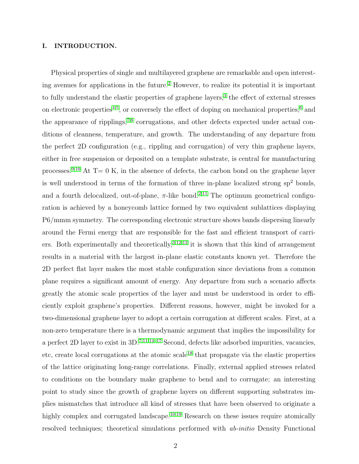## I. INTRODUCTION.

Physical properties of single and multilayered graphene are remarkable and open interest-ing avenues for applications in the future.<sup>[2](#page-8-1)</sup> However, to realize its potential it is important to fully understand the elastic properties of graphene layers,<sup>[3](#page-8-2)</sup> the effect of external stresses on electronic properties<sup>[4,](#page-8-3)[5](#page-8-4)</sup>, or conversely the effect of doping on mechanical properties,<sup>[6](#page-8-5)</sup> and the appearance of ripplings,<sup>[7,](#page-8-6)[8](#page-8-7)</sup> corrugations, and other defects expected under actual conditions of cleanness, temperature, and growth. The understanding of any departure from the perfect 2D configuration (e.g., rippling and corrugation) of very thin graphene layers, either in free suspension or deposited on a template substrate, is central for manufacturing processes.<sup>[9,](#page-8-8)[10](#page-8-9)</sup> At  $T=0$  K, in the absence of defects, the carbon bond on the graphene layer is well understood in terms of the formation of three in-plane localized strong  $sp<sup>2</sup>$  bonds, and a fourth delocalized, out-of-plane,  $\pi$ -like bond.<sup>[2](#page-8-1)[,11](#page-8-10)</sup> The optimum geometrical configuration is achieved by a honeycomb lattice formed by two equivalent sublattices displaying P6/mmm symmetry. The corresponding electronic structure shows bands dispersing linearly around the Fermi energy that are responsible for the fast and efficient transport of carriers. Both experimentally and theoretically,  $3,12,13$  $3,12,13$  $3,12,13$  it is shown that this kind of arrangement results in a material with the largest in-plane elastic constants known yet. Therefore the 2D perfect flat layer makes the most stable configuration since deviations from a common plane requires a significant amount of energy. Any departure from such a scenario affects greatly the atomic scale properties of the layer and must be understood in order to efficiently exploit graphene's properties. Different reasons, however, might be invoked for a two-dimensional graphene layer to adopt a certain corrugation at different scales. First, at a non-zero temperature there is a thermodynamic argument that implies the impossibility for a perfect 2D layer to exist in 3D.[7](#page-8-6)[,11](#page-8-10)[,14–](#page-8-13)[17](#page-8-14) Second, defects like adsorbed impurities, vacancies, etc, create local corrugations at the atomic scale<sup>[18](#page-8-15)</sup> that propagate via the elastic properties of the lattice originating long-range correlations. Finally, external applied stresses related to conditions on the boundary make graphene to bend and to corrugate; an interesting point to study since the growth of graphene layers on different supporting substrates implies mismatches that introduce all kind of stresses that have been observed to originate a highly complex and corrugated landscape.<sup>[10,](#page-8-9)[19](#page-8-16)</sup> Research on these issues require atomically resolved techniques; theoretical simulations performed with ab-initio Density Functional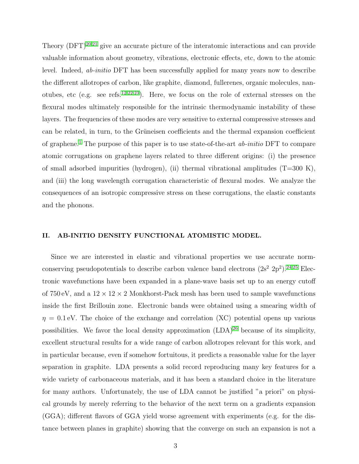Theory  $(DFT)^{20,21}$  $(DFT)^{20,21}$  $(DFT)^{20,21}$  $(DFT)^{20,21}$  give an accurate picture of the interatomic interactions and can provide valuable information about geometry, vibrations, electronic effects, etc, down to the atomic level. Indeed, ab-initio DFT has been successfully applied for many years now to describe the different allotropes of carbon, like graphite, diamond, fullerenes, organic molecules, nan-otubes, etc (e.g. see refs.<sup>[12,](#page-8-11)[22](#page-8-19)[,23](#page-9-0)</sup>). Here, we focus on the role of external stresses on the flexural modes ultimately responsible for the intrinsic thermodynamic instability of these layers. The frequencies of these modes are very sensitive to external compressive stresses and can be related, in turn, to the Grüneisen coefficients and the thermal expansion coefficient of graphene.<sup>[1](#page-8-0)</sup> The purpose of this paper is to use state-of-the-art *ab-initio* DFT to compare atomic corrugations on graphene layers related to three different origins: (i) the presence of small adsorbed impurities (hydrogen), (ii) thermal vibrational amplitudes  $(T=300 \text{ K})$ , and (iii) the long wavelength corrugation characteristic of flexural modes. We analyze the consequences of an isotropic compressive stress on these corrugations, the elastic constants and the phonons.

# II. AB-INITIO DENSITY FUNCTIONAL ATOMISTIC MODEL.

Since we are interested in elastic and vibrational properties we use accurate normconserving pseudopotentials to describe carbon valence band electrons  $(2s^2 2p^2)$ .<sup>[24](#page-9-1)[,25](#page-9-2)</sup> Electronic wavefunctions have been expanded in a plane-wave basis set up to an energy cutoff of 750 eV, and a  $12 \times 12 \times 2$  Monkhorst-Pack mesh has been used to sample wavefunctions inside the first Brillouin zone. Electronic bands were obtained using a smearing width of  $\eta = 0.1$  eV. The choice of the exchange and correlation (XC) potential opens up various possibilities. We favor the local density approximation  $(LDA)^{26}$  $(LDA)^{26}$  $(LDA)^{26}$  because of its simplicity, excellent structural results for a wide range of carbon allotropes relevant for this work, and in particular because, even if somehow fortuitous, it predicts a reasonable value for the layer separation in graphite. LDA presents a solid record reproducing many key features for a wide variety of carbonaceous materials, and it has been a standard choice in the literature for many authors. Unfortunately, the use of LDA cannot be justified "a priori" on physical grounds by merely referring to the behavior of the next term on a gradients expansion (GGA); different flavors of GGA yield worse agreement with experiments (e.g. for the distance between planes in graphite) showing that the converge on such an expansion is not a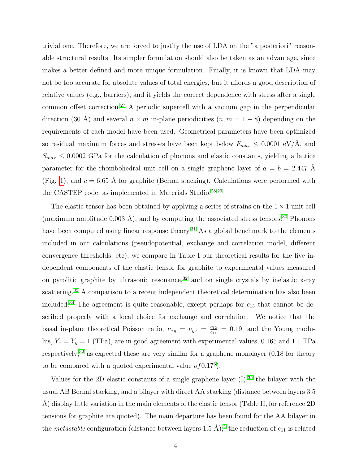trivial one. Therefore, we are forced to justify the use of LDA on the "a posteriori" reasonable structural results. Its simpler formulation should also be taken as an advantage, since makes a better defined and more unique formulation. Finally, it is known that LDA may not be too accurate for absolute values of total energies, but it affords a good description of relative values (e.g., barriers), and it yields the correct dependence with stress after a single common offset correction.<sup>[27](#page-9-4)</sup> A periodic supercell with a vacuum gap in the perpendicular direction (30 Å) and several  $n \times m$  in-plane periodicities  $(n, m = 1 - 8)$  depending on the requirements of each model have been used. Geometrical parameters have been optimized so residual maximum forces and stresses have been kept below  $F_{max} \leq 0.0001 \text{ eV}/\text{\AA}$ , and  $S_{max} \leq 0.0002$  GPa for the calculation of phonons and elastic constants, yielding a lattice parameter for the rhombohedral unit cell on a single graphene layer of  $a = b = 2.447$  Å (Fig. [1\)](#page-12-0), and  $c = 6.65$  Å for graphite (Bernal stacking). Calculations were performed with the CASTEP code, as implemented in Materials Studio.[28](#page-9-5)[,29](#page-9-6)

The elastic tensor has been obtained by applying a series of strains on the  $1 \times 1$  unit cell (maximum amplitude 0.003 Å), and by computing the associated stress tensors.<sup>[30](#page-9-7)</sup> Phonons have been computed using linear response theory.<sup>[31](#page-9-8)</sup> As a global benchmark to the elements included in our calculations (pseudopotential, exchange and correlation model, different convergence thresholds, etc), we compare in Table I our theoretical results for the five independent components of the elastic tensor for graphite to experimental values measured on pyrolitic graphite by ultrasonic resonance, $32$  and on single crystals by inelastic x-ray scattering.<sup>[33](#page-9-10)</sup> A comparison to a recent independent theoretical determination has also been included.<sup>[34](#page-9-11)</sup> The agreement is quite reasonable, except perhaps for  $c_{13}$  that cannot be described properly with a local choice for exchange and correlation. We notice that the basal in-plane theoretical Poisson ratio,  $\nu_{xy} = \nu_{yx} = \frac{c_{12}}{c_{11}}$  $\frac{c_{12}}{c_{11}} = 0.19$ , and the Young modulus,  $Y_x = Y_y = 1$  (TPa), are in good agreement with experimental values, 0.165 and 1.1 TPa respectively;<sup>[32](#page-9-9)</sup> as expected these are very similar for a graphene monolayer  $(0.18$  for theory to be compared with a quoted experimental value  $of 0.17<sup>3</sup>$  $of 0.17<sup>3</sup>$  $of 0.17<sup>3</sup>$ .

Values for the 2D elastic constants of a single graphene layer  $(I)$ ,<sup>[35](#page-9-12)</sup> the bilayer with the usual AB Bernal stacking, and a bilayer with direct AA stacking (distance between layers 3.5 A) display little variation in the main elements of the elastic tensor (Table II, for reference 2D tensions for graphite are quoted). The main departure has been found for the AA bilayer in the *metastable* configuration (distance between layers 1.5 Å);<sup>[4](#page-8-3)</sup> the reduction of  $c_{11}$  is related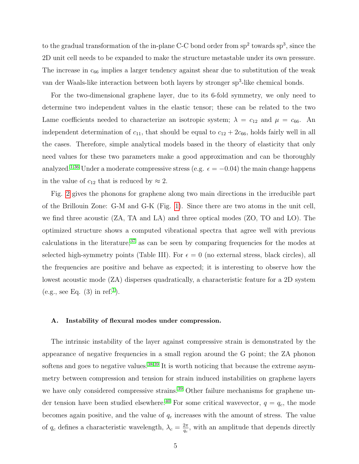to the gradual transformation of the in-plane C-C bond order from  $sp^2$  towards  $sp^3$ , since the 2D unit cell needs to be expanded to make the structure metastable under its own pressure. The increase in  $c_{66}$  implies a larger tendency against shear due to substitution of the weak van der Waals-like interaction between both layers by stronger sp<sup>3</sup>-like chemical bonds.

For the two-dimensional graphene layer, due to its 6-fold symmetry, we only need to determine two independent values in the elastic tensor; these can be related to the two Lame coefficients needed to characterize an isotropic system;  $\lambda = c_{12}$  and  $\mu = c_{66}$ . An independent determination of  $c_{11}$ , that should be equal to  $c_{12} + 2c_{66}$ , holds fairly well in all the cases. Therefore, simple analytical models based in the theory of elasticity that only need values for these two parameters make a good approximation and can be thoroughly analyzed.<sup>[1](#page-8-0)[,36](#page-9-13)</sup> Under a moderate compressive stress (e.g.  $\epsilon = -0.04$ ) the main change happens in the value of  $c_{12}$  that is reduced by  $\approx 2$ .

Fig. [2](#page-13-0) gives the phonons for graphene along two main directions in the irreducible part of the Brillouin Zone: G-M and G-K (Fig. [1\)](#page-12-0). Since there are two atoms in the unit cell, we find three acoustic (ZA, TA and LA) and three optical modes (ZO, TO and LO). The optimized structure shows a computed vibrational spectra that agree well with previous calculations in the literature,  $37$  as can be seen by comparing frequencies for the modes at selected high-symmetry points (Table III). For  $\epsilon = 0$  (no external stress, black circles), all the frequencies are positive and behave as expected; it is interesting to observe how the lowest acoustic mode (ZA) disperses quadratically, a characteristic feature for a 2D system (e.g., see Eq.  $(3)$  in ref.<sup>[1](#page-8-0)</sup>).

#### A. Instability of flexural modes under compression.

The intrinsic instability of the layer against compressive strain is demonstrated by the appearance of negative frequencies in a small region around the G point; the ZA phonon softens and goes to negative values.<sup>[38](#page-9-15)[,39](#page-9-16)</sup> It is worth noticing that because the extreme asymmetry between compression and tension for strain induced instabilities on graphene layers we have only considered compressive strains.<sup>[39](#page-9-16)</sup> Other failure mechanisms for graphene un-der tension have been studied elsewhere.<sup>[40](#page-9-17)</sup> For some critical wavevector,  $q = q_c$ , the mode becomes again positive, and the value of  $q_c$  increases with the amount of stress. The value of  $q_c$  defines a characteristic wavelength,  $\lambda_c = \frac{2\pi}{q_c}$  $\frac{2\pi}{q_c}$ , with an amplitude that depends directly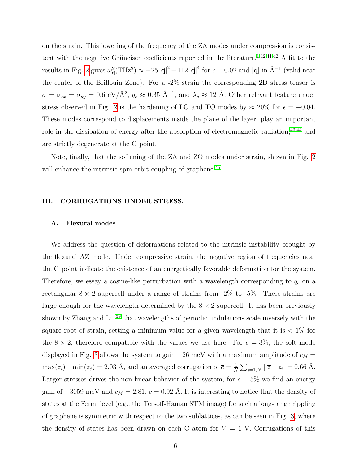on the strain. This lowering of the frequency of the ZA modes under compression is consis-tent with the negative Grüneisen coefficients reported in the literature.<sup>[1,](#page-8-0)[12](#page-8-11)[,41](#page-9-18)[,42](#page-9-19)</sup> A fit to the results in Fig. [2](#page-13-0) gives  $\omega_{\vec{\mathbf{q}}}^2(\text{THz}^2) \approx -25 |\vec{\mathbf{q}}|^2 + 112 |\vec{\mathbf{q}}|^4$  for  $\epsilon = 0.02$  and  $|\vec{\mathbf{q}}|$  in  $\AA^{-1}$  (valid near the center of the Brillouin Zone). For a -2% strain the corresponding 2D stress tensor is  $\sigma = \sigma_{xx} = \sigma_{yy} = 0.6 \text{ eV}/\text{\AA}^2$ ,  $q_c \approx 0.35 \text{ Å}^{-1}$ , and  $\lambda_c \approx 12 \text{ Å}$ . Other relevant feature under stress observed in Fig. [2](#page-13-0) is the hardening of LO and TO modes by  $\approx 20\%$  for  $\epsilon = -0.04$ . These modes correspond to displacements inside the plane of the layer, play an important role in the dissipation of energy after the absorption of electromagnetic radiation, $43,44$  $43,44$  and are strictly degenerate at the G point.

Note, finally, that the softening of the ZA and ZO modes under strain, shown in Fig. [2](#page-13-0) will enhance the intrinsic spin-orbit coupling of graphene.<sup>[45](#page-10-0)</sup>

### III. CORRUGATIONS UNDER STRESS.

### A. Flexural modes

We address the question of deformations related to the intrinsic instability brought by the flexural AZ mode. Under compressive strain, the negative region of frequencies near the G point indicate the existence of an energetically favorable deformation for the system. Therefore, we essay a cosine-like perturbation with a wavelength corresponding to  $q_c$  on a rectangular  $8 \times 2$  supercell under a range of strains from  $-2\%$  to  $-5\%$ . These strains are large enough for the wavelength determined by the  $8 \times 2$  supercell. It has been previously shown by Zhang and Liu<sup>[39](#page-9-16)</sup> that wavelengths of periodic undulations scale inversely with the square root of strain, setting a minimum value for a given wavelength that it is  $\langle 1 \rangle$  for the 8  $\times$  2, therefore compatible with the values we use here. For  $\epsilon = -3\%$ , the soft mode displayed in Fig. [3](#page-14-0) allows the system to gain  $-26$  meV with a maximum amplitude of  $c_M$  =  $\max(z_i) - \min(z_j) = 2.03$  Å, and an averaged corrugation of  $\bar{c} = \frac{1}{N}$  $\frac{1}{N} \sum_{i=1,N} |\overline{z} - z_i| = 0.66 \text{ Å}.$ Larger stresses drives the non-linear behavior of the system, for  $\epsilon = 5\%$  we find an energy gain of  $-3059$  meV and  $c_M = 2.81$ ,  $\bar{c} = 0.92$  Å. It is interesting to notice that the density of states at the Fermi level (e.g., the Tersoff-Haman STM image) for such a long-range rippling of graphene is symmetric with respect to the two sublattices, as can be seen in Fig. [3,](#page-14-0) where the density of states has been drawn on each C atom for  $V = 1$  V. Corrugations of this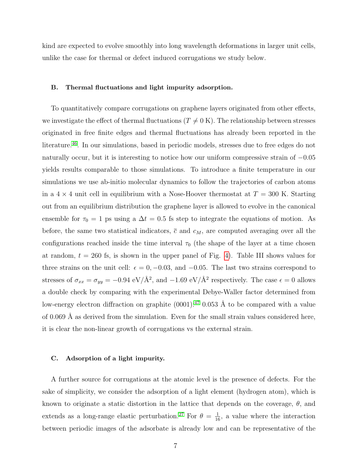kind are expected to evolve smoothly into long wavelength deformations in larger unit cells, unlike the case for thermal or defect induced corrugations we study below.

#### B. Thermal fluctuations and light impurity adsorption.

To quantitatively compare corrugations on graphene layers originated from other effects, we investigate the effect of thermal fluctuations ( $T \neq 0$  K). The relationship between stresses originated in free finite edges and thermal fluctuations has already been reported in the literature.<sup>[46](#page-10-1)</sup>. In our simulations, based in periodic models, stresses due to free edges do not naturally occur, but it is interesting to notice how our uniform compressive strain of −0.05 yields results comparable to those simulations. To introduce a finite temperature in our simulations we use ab-initio molecular dynamics to follow the trajectories of carbon atoms in a  $4 \times 4$  unit cell in equilibrium with a Nose-Hoover thermostat at  $T = 300$  K. Starting out from an equilibrium distribution the graphene layer is allowed to evolve in the canonical ensemble for  $\tau_0 = 1$  ps using a  $\Delta t = 0.5$  fs step to integrate the equations of motion. As before, the same two statistical indicators,  $\bar{c}$  and  $c_M$ , are computed averaging over all the configurations reached inside the time interval  $\tau_0$  (the shape of the layer at a time chosen at random,  $t = 260$  fs, is shown in the upper panel of Fig. [4\)](#page-15-0). Table III shows values for three strains on the unit cell:  $\epsilon = 0, -0.03,$  and  $-0.05$ . The last two strains correspond to stresses of  $\sigma_{xx} = \sigma_{yy} = -0.94 \text{ eV}/\text{\AA}^2$ , and  $-1.69 \text{ eV}/\text{\AA}^2$  respectively. The case  $\epsilon = 0$  allows a double check by comparing with the experimental Debye-Waller factor determined from low-energy electron diffraction on graphite  $(0001):^{47}$  $(0001):^{47}$  $(0001):^{47}$  0.053 Å to be compared with a value of 0.069 Å as derived from the simulation. Even for the small strain values considered here, it is clear the non-linear growth of corrugations vs the external strain.

#### C. Adsorption of a light impurity.

A further source for corrugations at the atomic level is the presence of defects. For the sake of simplicity, we consider the adsorption of a light element (hydrogen atom), which is known to originate a static distortion in the lattice that depends on the coverage,  $\theta$ , and extends as a long-range elastic perturbation.<sup>[27](#page-9-4)</sup> For  $\theta = \frac{1}{16}$ , a value where the interaction between periodic images of the adsorbate is already low and can be representative of the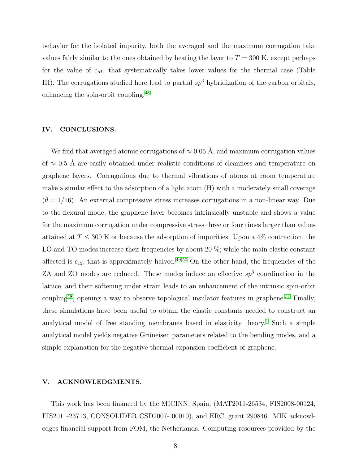behavior for the isolated impurity, both the averaged and the maximum corrugation take values fairly similar to the ones obtained by heating the layer to  $T = 300$  K, except perhaps for the value of  $c_M$ , that systematically takes lower values for the thermal case (Table III). The corrugations studied here lead to partial  $sp^3$  hybridization of the carbon orbitals, enhancing the spin-orbit coupling.[48](#page-10-3)

# IV. CONCLUSIONS.

We find that averaged atomic corrugations of  $\approx 0.05 \text{ Å}$ , and maximum corrugation values of  $\approx$  0.5 Å are easily obtained under realistic conditions of cleanness and temperature on graphene layers. Corrugations due to thermal vibrations of atoms at room temperature make a similar effect to the adsorption of a light atom (H) with a moderately small coverage  $(\theta = 1/16)$ . An external compressive stress increases corrugations in a non-linear way. Due to the flexural mode, the graphene layer becomes intrinsically unstable and shows a value for the maximum corrugation under compressive stress three or four times larger than values attained at  $T \leq 300$  K or because the adsorption of impurities. Upon a 4% contraction, the LO and TO modes increase their frequencies by about 20 %; while the main elastic constant affected is  $c_{12}$ , that is approximately halved.<sup>[49,](#page-10-4)[50](#page-10-5)</sup> On the other hand, the frequencies of the ZA and ZO modes are reduced. These modes induce an effective  $sp^3$  coordination in the lattice, and their softening under strain leads to an enhancement of the intrinsic spin-orbit coupling<sup>[48](#page-10-3)</sup>, opening a way to observe topological insulator features in graphene.<sup>[51](#page-10-6)</sup> Finally, these simulations have been useful to obtain the elastic constants needed to construct an analytical model of free standing membranes based in elasticity theory.[1](#page-8-0) Such a simple analytical model yields negative Grüneisen parameters related to the bending modes, and a simple explanation for the negative thermal expansion coefficient of graphene.

## V. ACKNOWLEDGMENTS.

This work has been financed by the MICINN, Spain, (MAT2011-26534, FIS2008-00124, FIS2011-23713, CONSOLIDER CSD2007- 00010), and ERC, grant 290846. MIK acknowledges financial support from FOM, the Netherlands. Computing resources provided by the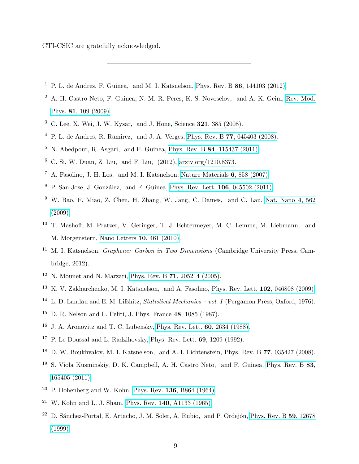CTI-CSIC are gratefully acknowledged.

- <span id="page-8-0"></span><sup>1</sup> P. L. de Andres, F. Guinea, and M. I. Katsnelson, Phys. Rev. B  $86$ [, 144103 \(2012\).](http://dx.doi.org/10.1103/PhysRevB.86.144103)
- <span id="page-8-1"></span><sup>2</sup> A. H. Castro Neto, F. Guinea, N. M. R. Peres, K. S. Novoselov, and A. K. Geim, [Rev. Mod.](http://dx.doi.org/ 10.1103/RevModPhys.81.109) Phys. 81[, 109 \(2009\).](http://dx.doi.org/ 10.1103/RevModPhys.81.109)
- <span id="page-8-2"></span><sup>3</sup> C. Lee, X. Wei, J. W. Kysar, and J. Hone, Science 321[, 385 \(2008\).](http://dx.doi.org/ 10.1126/science.1157996)
- <span id="page-8-3"></span><sup>4</sup> P. L. de Andres, R. Ramirez, and J. A. Verges, Phys. Rev. B  $77$ [, 045403 \(2008\).](http://dx.doi.org/10.1103/PhysRevB.77.045403)
- <span id="page-8-4"></span> $5$  N. Abedpour, R. Asgari, and F. Guinea, Phys. Rev. B 84[, 115437 \(2011\).](http://dx.doi.org/10.1103/PhysRevB.84.115437)
- <span id="page-8-5"></span><sup>6</sup> C. Si, W. Duan, Z. Liu, and F. Liu,  $(2012)$ , [arxiv.org/1210.8373.](http://arxiv.org/abs/arxiv.org/1210.8373)
- <span id="page-8-6"></span><sup>7</sup> A. Fasolino, J. H. Los, and M. I. Katsnelson, [Nature Materials](http://dx.doi.org/10.1038/nmat2011) 6, 858 (2007).
- <span id="page-8-8"></span><span id="page-8-7"></span> $8$  P. San-Jose, J. González, and F. Guinea, [Phys. Rev. Lett.](http://dx.doi.org/10.1103/PhysRevLett.106.045502) 106, 045502 (2011).
- $9\,$  W. Bao, F. Miao, Z. Chen, H. Zhang, W. Jang, C. Dames, and C. Lau, [Nat. Nano](http://dx.doi.org/10.1038/nnano.2009.191) 4, 562 [\(2009\).](http://dx.doi.org/10.1038/nnano.2009.191)
- <span id="page-8-9"></span><sup>10</sup> T. Mashoff, M. Pratzer, V. Geringer, T. J. Echtermeyer, M. C. Lemme, M. Liebmann, and M. Morgenstern, [Nano Letters](http://dx.doi.org/ 10.1021/nl903133w) 10, 461 (2010).
- <span id="page-8-10"></span><sup>11</sup> M. I. Katsnelson, *Graphene: Carbon in Two Dimensions* (Cambridge University Press, Cambridge, 2012).
- <span id="page-8-11"></span><sup>12</sup> N. Mounet and N. Marzari, Phys. Rev. B **71**[, 205214 \(2005\).](http://dx.doi.org/10.1103/PhysRevB.71.205214)
- <span id="page-8-12"></span><sup>13</sup> K. V. Zakharchenko, M. I. Katsnelson, and A. Fasolino, [Phys. Rev. Lett.](http://dx.doi.org/10.1103/PhysRevLett.102.046808) 102, 046808 (2009).
- <span id="page-8-13"></span><sup>14</sup> L. D. Landau and E. M. Lifshitz, *Statistical Mechanics – vol. I* (Pergamon Press, Oxford, 1976).
- <sup>15</sup> D. R. Nelson and L. Peliti, J. Phys. France **48**, 1085 (1987).
- <sup>16</sup> J. A. Aronovitz and T. C. Lubensky, [Phys. Rev. Lett.](http://dx.doi.org/10.1103/PhysRevLett.60.2634) 60, 2634 (1988).
- <span id="page-8-14"></span><sup>17</sup> P. Le Doussal and L. Radzihovsky, [Phys. Rev. Lett.](http://dx.doi.org/10.1103/PhysRevLett.69.1209) **69**, 1209 (1992).
- <span id="page-8-15"></span><sup>18</sup> D. W. Boukhvalov, M. I. Katsnelson, and A. I. Lichtenstein, Phys. Rev. B 77, 035427 (2008).
- <span id="page-8-16"></span><sup>19</sup> S. Viola Kusminskiy, D. K. Campbell, A. H. Castro Neto, and F. Guinea, [Phys. Rev. B](http://dx.doi.org/10.1103/PhysRevB.83.165405) 83, [165405 \(2011\).](http://dx.doi.org/10.1103/PhysRevB.83.165405)
- <span id="page-8-17"></span> $20$  P. Hohenberg and W. Kohn, Phys. Rev. 136[, B864 \(1964\).](http://dx.doi.org/10.1103/PhysRev.136.B864)
- <span id="page-8-18"></span><sup>21</sup> W. Kohn and L. J. Sham, Phys. Rev. 140[, A1133 \(1965\).](http://dx.doi.org/10.1103/PhysRev.140.A1133)
- <span id="page-8-19"></span><sup>22</sup> D. Sánchez-Portal, E. Artacho, J. M. Soler, A. Rubio, and P. Ordejón, [Phys. Rev. B](http://dx.doi.org/ 10.1103/PhysRevB.59.12678) 59, 12678 [\(1999\).](http://dx.doi.org/ 10.1103/PhysRevB.59.12678)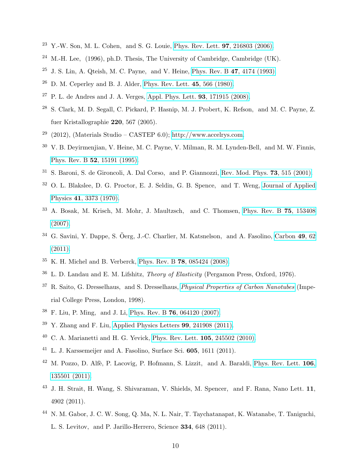- <span id="page-9-0"></span> $23$  Y.-W. Son, M. L. Cohen, and S. G. Louie, [Phys. Rev. Lett.](http://dx.doi.org/10.1103/PhysRevLett.97.216803) **97**, 216803 (2006).
- <span id="page-9-1"></span><sup>24</sup> M.-H. Lee, (1996), ph.D. Thesis, The University of Cambridge, Cambridge (UK).
- <span id="page-9-3"></span><span id="page-9-2"></span> $25$  J. S. Lin, A. Qteish, M. C. Payne, and V. Heine, [Phys. Rev. B](http://dx.doi.org/10.1103/PhysRevB.47.4174) 47, 4174 (1993).
- <span id="page-9-4"></span> $26$  D. M. Ceperley and B. J. Alder, [Phys. Rev. Lett.](http://dx.doi.org/10.1103/PhysRevLett.45.566) 45, 566 (1980).
- $27$  P. L. de Andres and J. A. Verges, [Appl. Phys. Lett.](http://dx.doi.org/10.1063/1.3010740) **93**, 171915 (2008).
- <span id="page-9-5"></span><sup>28</sup> S. Clark, M. D. Segall, C. Pickard, P. Hasnip, M. J. Probert, K. Refson, and M. C. Payne, Z. fuer Kristallographie 220, 567 (2005).
- <span id="page-9-6"></span><sup>29</sup> (2012), (Materials Studio – CASTEP 6.0); [http://www.accelrys.com.](http://www.accelrys.com)
- <span id="page-9-7"></span><sup>30</sup> V. B. Deyirmenjian, V. Heine, M. C. Payne, V. Milman, R. M. Lynden-Bell, and M. W. Finnis, Phys. Rev. B 52[, 15191 \(1995\).](http://dx.doi.org/ 10.1103/PhysRevB.52.15191)
- <span id="page-9-8"></span><sup>31</sup> S. Baroni, S. de Gironcoli, A. Dal Corso, and P. Giannozzi, [Rev. Mod. Phys.](http://dx.doi.org/10.1103/RevModPhys.73.515) 73, 515 (2001).
- <span id="page-9-9"></span><sup>32</sup> O. L. Blakslee, D. G. Proctor, E. J. Seldin, G. B. Spence, and T. Weng, [Journal of Applied](http://dx.doi.org/ 10.1063/1.1659428) Physics 41[, 3373 \(1970\).](http://dx.doi.org/ 10.1063/1.1659428)
- <span id="page-9-10"></span><sup>33</sup> A. Bosak, M. Krisch, M. Mohr, J. Maultzsch, and C. Thomsen, [Phys. Rev. B](http://dx.doi.org/ 10.1103/PhysRevB.75.153408) 75, 153408 [\(2007\).](http://dx.doi.org/ 10.1103/PhysRevB.75.153408)
- <span id="page-9-11"></span><sup>34</sup> G. Savini, Y. Dappe, S. Öerg, J.-C. Charlier, M. Katsnelson, and A. Fasolino, [Carbon](http://dx.doi.org/ 10.1016/j.carbon.2010.08.042) 49, 62 [\(2011\).](http://dx.doi.org/ 10.1016/j.carbon.2010.08.042)
- <span id="page-9-12"></span> $35$  K. H. Michel and B. Verberck, Phys. Rev. B 78[, 085424 \(2008\).](http://dx.doi.org/10.1103/PhysRevB.78.085424)
- <span id="page-9-13"></span><sup>36</sup> L. D. Landau and E. M. Lifshitz, Theory of Elasticity (Pergamon Press, Oxford, 1976).
- <span id="page-9-14"></span><sup>37</sup> R. Saito, G. Dresselhaus, and S. Dresselhaus, *[Physical Properties of Carbon Nanotubes](http://books.google.es/books?id=w5oHCWhA2EQC)* (Imperial College Press, London, 1998).
- <span id="page-9-15"></span><sup>38</sup> F. Liu, P. Ming, and J. Li, Phys. Rev. B 76[, 064120 \(2007\).](http://dx.doi.org/ 10.1103/PhysRevB.76.064120)
- <span id="page-9-16"></span> $39$  Y. Zhang and F. Liu, [Applied Physics Letters](http://dx.doi.org/10.1063/1.3666856) 99, 241908 (2011).
- <span id="page-9-18"></span><span id="page-9-17"></span> $40\,$  C. A. Marianetti and H. G. Yevick, [Phys. Rev. Lett.](http://dx.doi.org/10.1103/PhysRevLett.105.245502) **105**, 245502 (2010).
- <sup>41</sup> L. J. Karssemeijer and A. Fasolino, Surface Sci. 605, 1611 (2011).
- <span id="page-9-19"></span><sup>42</sup> M. Pozzo, D. Alfè, P. Lacovig, P. Hofmann, S. Lizzit, and A. Baraldi, [Phys. Rev. Lett.](http://dx.doi.org/ 10.1103/PhysRevLett.106.135501) 106, [135501 \(2011\).](http://dx.doi.org/ 10.1103/PhysRevLett.106.135501)
- <span id="page-9-20"></span><sup>43</sup> J. H. Strait, H. Wang, S. Shivaraman, V. Shields, M. Spencer, and F. Rana, Nano Lett. 11, 4902 (2011).
- <span id="page-9-21"></span><sup>44</sup> N. M. Gabor, J. C. W. Song, Q. Ma, N. L. Nair, T. Taychatanapat, K. Watanabe, T. Taniguchi, L. S. Levitov, and P. Jarillo-Herrero, Science 334, 648 (2011).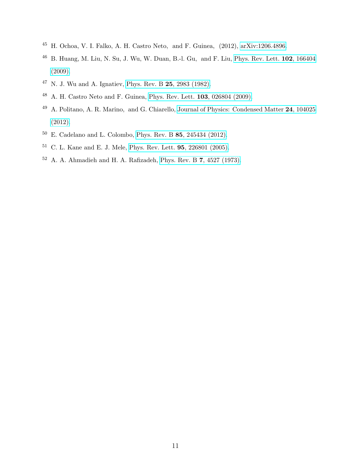- <span id="page-10-0"></span>H. Ochoa, V. I. Falko, A. H. Castro Neto, and F. Guinea, (2012), [arXiv:1206.4896.](http://arxiv.org/abs/arXiv:1206.4896)
- <span id="page-10-1"></span> B. Huang, M. Liu, N. Su, J. Wu, W. Duan, B.-l. Gu, and F. Liu, [Phys. Rev. Lett.](http://dx.doi.org/10.1103/PhysRevLett.102.166404) 102, 166404 [\(2009\).](http://dx.doi.org/10.1103/PhysRevLett.102.166404)
- <span id="page-10-2"></span>N. J. Wu and A. Ignatiev, [Phys. Rev. B](http://dx.doi.org/10.1103/PhysRevB.25.2983) 25, 2983 (1982).
- <span id="page-10-3"></span>A. H. Castro Neto and F. Guinea, [Phys. Rev. Lett.](http://dx.doi.org/10.1103/PhysRevLett.103.026804) 103, 026804 (2009).
- <span id="page-10-4"></span><sup>49</sup> A. Politano, A. R. Marino, and G. Chiarello, [Journal of Physics: Condensed Matter](http://stacks.iop.org/0953-8984/24/i=10/a=104025) 24, 104025 [\(2012\).](http://stacks.iop.org/0953-8984/24/i=10/a=104025)
- <span id="page-10-5"></span>E. Cadelano and L. Colombo, Phys. Rev. B 85[, 245434 \(2012\).](http://dx.doi.org/10.1103/PhysRevB.85.245434)
- <span id="page-10-6"></span>C. L. Kane and E. J. Mele, [Phys. Rev. Lett.](http://dx.doi.org/10.1103/PhysRevLett.95.226801) 95, 226801 (2005).
- <span id="page-10-7"></span>A. A. Ahmadieh and H. A. Rafizadeh, [Phys. Rev. B](http://dx.doi.org/10.1103/PhysRevB.7.4527) 7, 4527 (1973).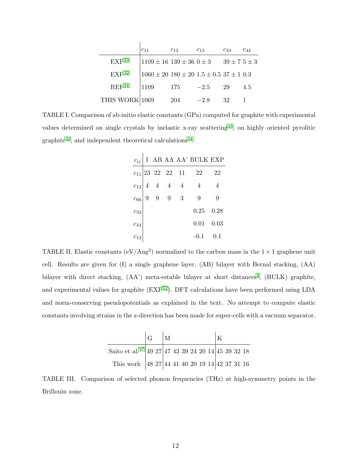|                   | $c_{11}$                                                  | $c_{12}$ | $c_{13}$ | $c_{33}$             | $c_{44}$ |
|-------------------|-----------------------------------------------------------|----------|----------|----------------------|----------|
| EXP <sup>33</sup> | $1109 \pm 16$ $139 \pm 36$ $0 \pm 3$                      |          |          | $39 \pm 7$ $5 \pm 3$ |          |
| EXP <sup>32</sup> | $1060 \pm 20$ $180 \pm 20$ $1.5 \pm 0.5$ $37 \pm 1$ $0.3$ |          |          |                      |          |
| REF <sup>34</sup> | 1109                                                      | 175      | $-2.5$   | 29                   | 4.5      |
| THIS WORK 1069    |                                                           | 204      | $-2.8$   | 32                   |          |

TABLE I. Comparison of ab-initio elastic constants (GPa) computed for graphite with experimental values determined on single crystals by inelastic x-ray scattering<sup>[33](#page-9-10)</sup>, on highly oriented pyrolitic graphite<sup>[32](#page-9-9)</sup>, and independent theoretical calculations<sup>[34](#page-9-11)</sup>.

| $c_{ij}$ |  |                             |                          | $I$ AB AA AA' BULK EXP   |    |
|----------|--|-----------------------------|--------------------------|--------------------------|----|
|          |  |                             |                          | $c_{11}$  23 22 22 11 22 | 22 |
| $c_{12}$ |  |                             | $4\quad 4\quad 4\quad 4$ | $\overline{4}$           | 4  |
| $c_{66}$ |  | $9 \quad 9 \quad 9 \quad 3$ |                          | -9                       | -9 |
| $c_{33}$ |  |                             |                          | $0.25 \quad 0.28$        |    |
| $c_{44}$ |  |                             |                          | $0.01 \quad 0.03$        |    |
| $c_{13}$ |  |                             |                          | $-0.1$ 0.1               |    |

TABLE II. Elastic constants ( $eV/Ang^2$ ) normalized to the carbon mass in the  $1 \times 1$  graphene unit cell. Results are given for (I) a single graphene layer, (AB) bilayer with Bernal stacking, (AA) bilayer with direct stacking,  $(AA^{\prime})$  meta-estable bilayer at short distances<sup>[4](#page-8-3)</sup>,  $(BULK)$  graphite, and experimental values for graphite (EXP<sup>[52](#page-10-7)</sup>). DFT calculations have been performed using LDA and norm-conserving pseudopotentials as explained in the text. No attempt to compute elastic constants involving strains in the z-direction has been made for super-cells with a vacuum separator.

|                                                     | $ G $ M |  |  |  |  |  |
|-----------------------------------------------------|---------|--|--|--|--|--|
| Saito et al. 37 49 27 47 43 39 24 20 14 45 39 32 18 |         |  |  |  |  |  |
| This work 48 27 44 41 40 20 19 14 42 37 31 16       |         |  |  |  |  |  |

TABLE III. Comparison of selected phonon frequencies (THz) at high-symmetry points in the Brillouin zone.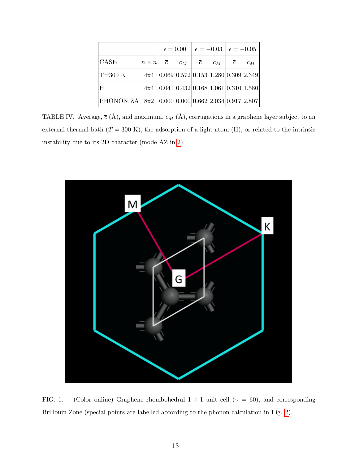|                                                       |                                                        |  |                                                 | $\epsilon = 0.00$ $\epsilon = -0.03$ $\epsilon = -0.05$ |  |  |       |
|-------------------------------------------------------|--------------------------------------------------------|--|-------------------------------------------------|---------------------------------------------------------|--|--|-------|
| <b>CASE</b>                                           | $n \times n$ $\bar{c}$ $c_M$ $\bar{c}$ $c_M$ $\bar{c}$ |  |                                                 |                                                         |  |  | $c_M$ |
| $T=300$ K                                             | $4x4$  0.069 0.572  0.153 1.280  0.309 2.349           |  |                                                 |                                                         |  |  |       |
| ΙH                                                    |                                                        |  | $4x4$   0.041 0.432   0.168 1.061   0.310 1.580 |                                                         |  |  |       |
| PHONON ZA 8x2  0.000 0.000  0.662 2.034   0.917 2.807 |                                                        |  |                                                 |                                                         |  |  |       |

TABLE IV. Average,  $\bar{c}$  (Å), and maximum,  $c_M$  (Å), corrugations in a graphene layer subject to an external thermal bath  $(T = 300 \text{ K})$ , the adsorption of a light atom (H), or related to the intrinsic instability due to its 2D character (mode AZ in [2\)](#page-13-0).



<span id="page-12-0"></span>FIG. 1. (Color online) Graphene rhombohedral  $1 \times 1$  unit cell ( $\gamma = 60$ ), and corresponding Brillouin Zone (special points are labelled according to the phonon calculation in Fig. [2\)](#page-13-0).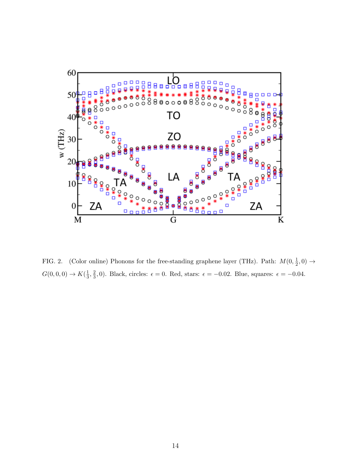

<span id="page-13-0"></span>FIG. 2. (Color online) Phonons for the free-standing graphene layer (THz). Path:  $M(0, \frac{1}{2})$  $\frac{1}{2}, 0) \rightarrow$  $G(0,0,0) \to K(\frac{1}{3})$  $\frac{1}{3}, \frac{2}{3}$  $\frac{2}{3}$ , 0). Black, circles:  $\epsilon = 0$ . Red, stars:  $\epsilon = -0.02$ . Blue, squares:  $\epsilon = -0.04$ .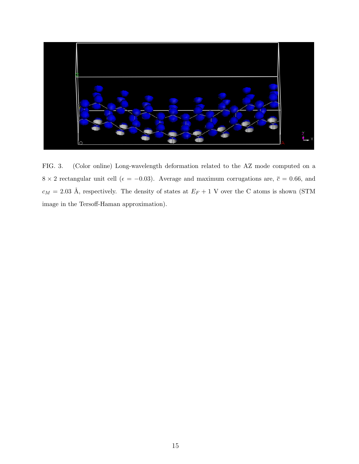

<span id="page-14-0"></span>FIG. 3. (Color online) Long-wavelength deformation related to the AZ mode computed on a 8 × 2 rectangular unit cell ( $\epsilon = -0.03$ ). Average and maximum corrugations are,  $\bar{c} = 0.66$ , and  $c_M = 2.03$  Å, respectively. The density of states at  $E_F + 1$  V over the C atoms is shown (STM image in the Tersoff-Haman approximation).